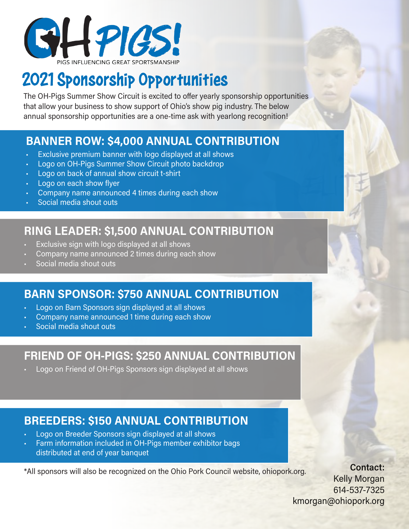

# 2021 Sponsorship Opportunities

The OH-Pigs Summer Show Circuit is excited to offer yearly sponsorship opportunities that allow your business to show support of Ohio's show pig industry. The below annual sponsorship opportunities are a one-time ask with yearlong recognition!

## **BANNER ROW: \$4,000 ANNUAL CONTRIBUTION**

- Exclusive premium banner with logo displayed at all shows
- Logo on OH-Pigs Summer Show Circuit photo backdrop
- Logo on back of annual show circuit t-shirt
- Logo on each show flyer
- Company name announced 4 times during each show
- Social media shout outs

## **RING LEADER: \$1,500 ANNUAL CONTRIBUTION**

- Exclusive sign with logo displayed at all shows
- Company name announced 2 times during each show
- Social media shout outs

## **BARN SPONSOR: \$750 ANNUAL CONTRIBUTION**

- Logo on Barn Sponsors sign displayed at all shows
- Company name announced 1 time during each show
- Social media shout outs

### **FRIEND OF OH-PIGS: \$250 ANNUAL CONTRIBUTION**

• Logo on Friend of OH-Pigs Sponsors sign displayed at all shows

## **BREEDERS: \$150 ANNUAL CONTRIBUTION**

- Logo on Breeder Sponsors sign displayed at all shows
- Farm information included in OH-Pigs member exhibitor bags distributed at end of year banquet

\*All sponsors will also be recognized on the Ohio Pork Council website, ohiopork.org. **Contact:**

Kelly Morgan 614-537-7325 kmorgan@ohiopork.org